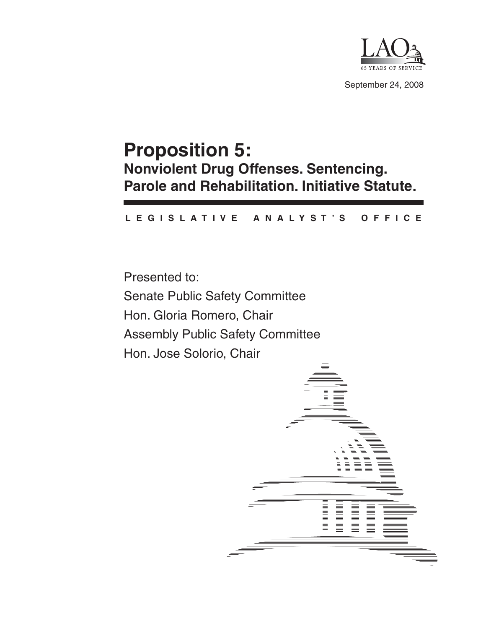

September 24, 2008

# **Proposition 5: Nonviolent Drug Offenses. Sentencing. Parole and Rehabilitation. Initiative Statute.**

#### **L E G I S L A T I V E A N A L Y S T ' S O F F I C E**

Presented to: Senate Public Safety Committee Hon. Gloria Romero, Chair Assembly Public Safety Committee Hon. Jose Solorio, Chair

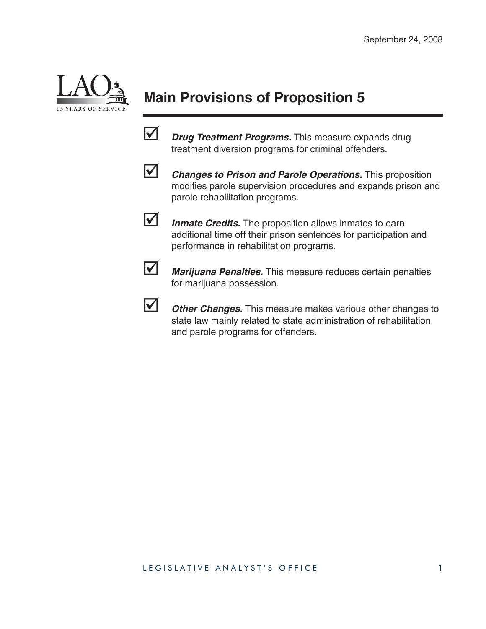

# **Main Provisions of Proposition 5**



*Drug Treatment Programs.* This measure expands drug treatment diversion programs for criminal offenders.



**1** Changes to Prison and Parole Operations. This proposition modifies parole supervision procedures and expands prison and parole rehabilitation programs.



**1** Inmate Credits. The proposition allows inmates to earn additional time off their prison sentences for participation and performance in rehabilitation programs.



**1** *Marijuana Penalties.* This measure reduces certain penalties for marijuana possession.



**1** Other Changes. This measure makes various other changes to state law mainly related to state administration of rehabilitation and parole programs for offenders.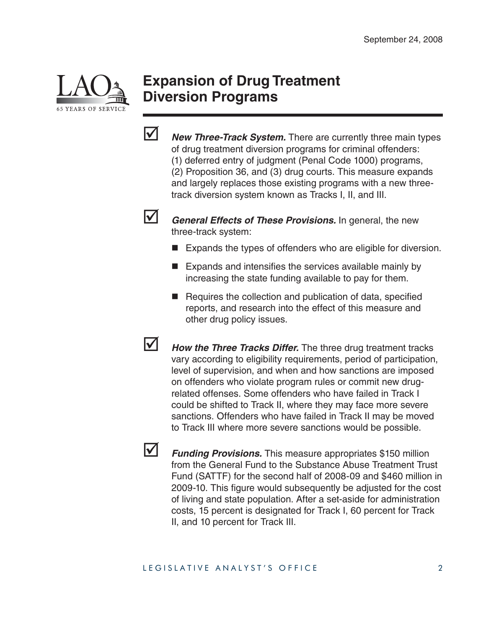

### **Expansion of Drug Treatment Diversion Programs**



**1** *New Three-Track System.* There are currently three main types of drug treatment diversion programs for criminal offenders: (1) deferred entry of judgment (Penal Code 1000) programs, (2) Proposition 36, and (3) drug courts. This measure expands and largely replaces those existing programs with a new threetrack diversion system known as Tracks I, II, and III.



General Effects of These Provisions. In general, the new three-track system:

- Expands the types of offenders who are eligible for diversion.
- $\blacksquare$  Expands and intensifies the services available mainly by increasing the state funding available to pay for them.
- $\blacksquare$  Requires the collection and publication of data, specified reports, and research into the effect of this measure and other drug policy issues.
- **1** How the Three Tracks Differ. The three drug treatment tracks vary according to eligibility requirements, period of participation, level of supervision, and when and how sanctions are imposed on offenders who violate program rules or commit new drugrelated offenses. Some offenders who have failed in Track I could be shifted to Track II, where they may face more severe sanctions. Offenders who have failed in Track II may be moved to Track III where more severe sanctions would be possible.

**1** Funding Provisions. This measure appropriates \$150 million from the General Fund to the Substance Abuse Treatment Trust Fund (SATTF) for the second half of 2008-09 and \$460 million in 2009-10. This figure would subsequently be adjusted for the cost of living and state population. After a set-aside for administration costs, 15 percent is designated for Track I, 60 percent for Track II, and 10 percent for Track III.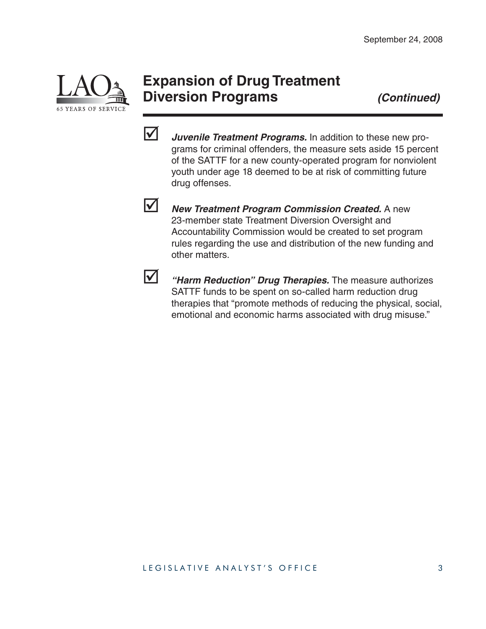

## **Expansion of Drug Treatment Diversion Programs** *(Continued)*



**1** *Juvenile Treatment Programs.* In addition to these new programs for criminal offenders, the measure sets aside 15 percent of the SATTF for a new county-operated program for nonviolent youth under age 18 deemed to be at risk of committing future drug offenses.



**V** New Treatment Program Commission Created. A new 23-member state Treatment Diversion Oversight and Accountability Commission would be created to set program rules regarding the use and distribution of the new funding and other matters.



; *"Harm Reduction" Drug Therapies.* The measure authorizes SATTF funds to be spent on so-called harm reduction drug therapies that "promote methods of reducing the physical, social, emotional and economic harms associated with drug misuse."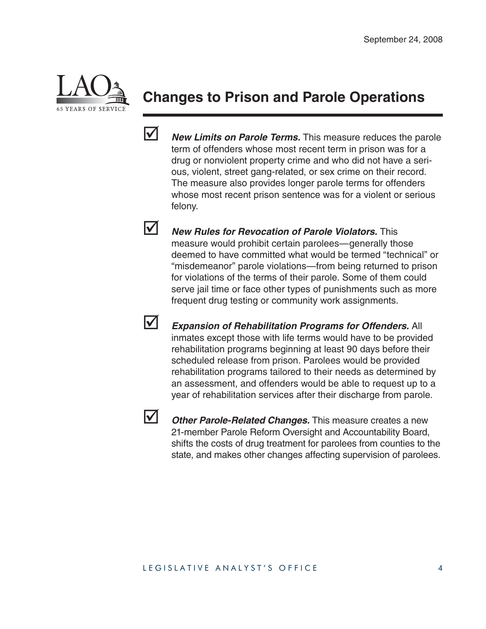

## **Changes to Prison and Parole Operations**



**1** New Limits on Parole Terms. This measure reduces the parole term of offenders whose most recent term in prison was for a drug or nonviolent property crime and who did not have a serious, violent, street gang-related, or sex crime on their record. The measure also provides longer parole terms for offenders whose most recent prison sentence was for a violent or serious felony.

**1** New Rules for Revocation of Parole Violators. This measure would prohibit certain parolees—generally those deemed to have committed what would be termed "technical" or "misdemeanor" parole violations—from being returned to prison for violations of the terms of their parole. Some of them could serve jail time or face other types of punishments such as more frequent drug testing or community work assignments.



**Expansion of Rehabilitation Programs for Offenders.** All inmates except those with life terms would have to be provided rehabilitation programs beginning at least 90 days before their scheduled release from prison. Parolees would be provided rehabilitation programs tailored to their needs as determined by an assessment, and offenders would be able to request up to a year of rehabilitation services after their discharge from parole.



**1** Other Parole-Related Changes. This measure creates a new 21-member Parole Reform Oversight and Accountability Board, shifts the costs of drug treatment for parolees from counties to the state, and makes other changes affecting supervision of parolees.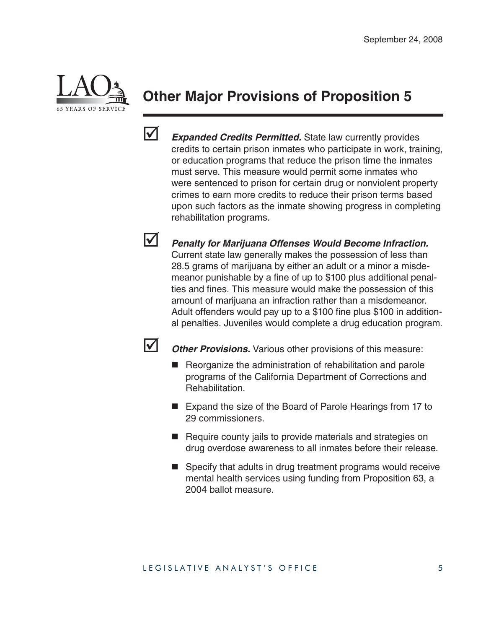

# **Other Major Provisions of Proposition 5**



**1** *Expanded Credits Permitted.* State law currently provides credits to certain prison inmates who participate in work, training, or education programs that reduce the prison time the inmates must serve. This measure would permit some inmates who were sentenced to prison for certain drug or nonviolent property crimes to earn more credits to reduce their prison terms based upon such factors as the inmate showing progress in completing rehabilitation programs.

**V** Penalty for Marijuana Offenses Would Become Infraction. Current state law generally makes the possession of less than 28.5 grams of marijuana by either an adult or a minor a misdemeanor punishable by a fine of up to \$100 plus additional penalties and fines. This measure would make the possession of this amount of marijuana an infraction rather than a misdemeanor. Adult offenders would pay up to a  $$100$  fine plus  $$100$  in additional penalties. Juveniles would complete a drug education program.



**1** Other Provisions. Various other provisions of this measure:

- Reorganize the administration of rehabilitation and parole programs of the California Department of Corrections and Rehabilitation.
- Expand the size of the Board of Parole Hearings from 17 to 29 commissioners.
- Require county jails to provide materials and strategies on drug overdose awareness to all inmates before their release.
- Specify that adults in drug treatment programs would receive mental health services using funding from Proposition 63, a 2004 ballot measure.